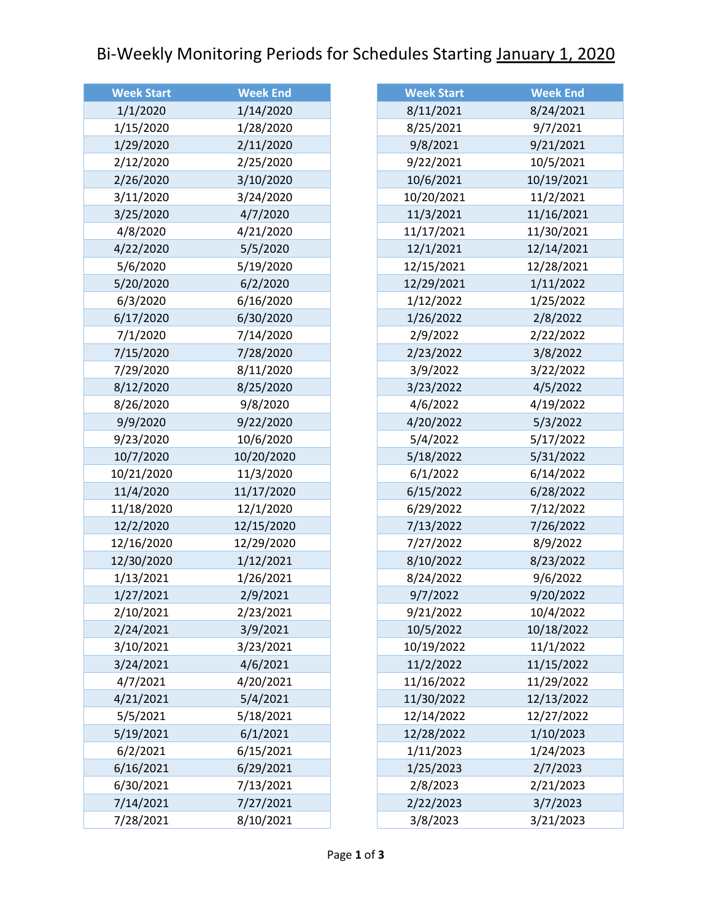## Bi-Weekly Monitoring Periods for Schedules Starting January 1, 2020

| <b>Week Start</b> | <b>Week End</b> |
|-------------------|-----------------|
| 1/1/2020          | 1/14/2020       |
| 1/15/2020         | 1/28/2020       |
| 1/29/2020         | 2/11/2020       |
| 2/12/2020         | 2/25/2020       |
| 2/26/2020         | 3/10/2020       |
| 3/11/2020         | 3/24/2020       |
| 3/25/2020         | 4/7/2020        |
| 4/8/2020          | 4/21/2020       |
| 4/22/2020         | 5/5/2020        |
| 5/6/2020          | 5/19/2020       |
| 5/20/2020         | 6/2/2020        |
| 6/3/2020          | 6/16/2020       |
| 6/17/2020         | 6/30/2020       |
| 7/1/2020          | 7/14/2020       |
| 7/15/2020         | 7/28/2020       |
| 7/29/2020         | 8/11/2020       |
| 8/12/2020         | 8/25/2020       |
| 8/26/2020         | 9/8/2020        |
| 9/9/2020          | 9/22/2020       |
| 9/23/2020         | 10/6/2020       |
| 10/7/2020         | 10/20/2020      |
| 10/21/2020        | 11/3/2020       |
| 11/4/2020         | 11/17/2020      |
| 11/18/2020        | 12/1/2020       |
| 12/2/2020         | 12/15/2020      |
| 12/16/2020        | 12/29/2020      |
| 12/30/2020        | 1/12/2021       |
| 1/13/2021         | 1/26/2021       |
| 1/27/2021         | 2/9/2021        |
| 2/10/2021         | 2/23/2021       |
| 2/24/2021         | 3/9/2021        |
| 3/10/2021         | 3/23/2021       |
| 3/24/2021         | 4/6/2021        |
| 4/7/2021          | 4/20/2021       |
| 4/21/2021         | 5/4/2021        |
| 5/5/2021          | 5/18/2021       |
| 5/19/2021         | 6/1/2021        |
| 6/2/2021          | 6/15/2021       |
| 6/16/2021         | 6/29/2021       |
| 6/30/2021         | 7/13/2021       |
| 7/14/2021         | 7/27/2021       |
| 7/28/2021         | 8/10/2021       |

| <b>Week Start</b> | <b>Week End</b> |
|-------------------|-----------------|
| 8/11/2021         | 8/24/2021       |
| 8/25/2021         | 9/7/2021        |
| 9/8/2021          | 9/21/2021       |
| 9/22/2021         | 10/5/2021       |
| 10/6/2021         | 10/19/2021      |
| 10/20/2021        | 11/2/2021       |
| 11/3/2021         | 11/16/2021      |
| 11/17/2021        | 11/30/2021      |
| 12/1/2021         | 12/14/2021      |
| 12/15/2021        | 12/28/2021      |
| 12/29/2021        | 1/11/2022       |
| 1/12/2022         | 1/25/2022       |
| 1/26/2022         | 2/8/2022        |
| 2/9/2022          | 2/22/2022       |
| 2/23/2022         | 3/8/2022        |
| 3/9/2022          | 3/22/2022       |
| 3/23/2022         | 4/5/2022        |
| 4/6/2022          | 4/19/2022       |
| 4/20/2022         | 5/3/2022        |
| 5/4/2022          | 5/17/2022       |
| 5/18/2022         | 5/31/2022       |
| 6/1/2022          | 6/14/2022       |
| 6/15/2022         | 6/28/2022       |
| 6/29/2022         | 7/12/2022       |
| 7/13/2022         | 7/26/2022       |
| 7/27/2022         | 8/9/2022        |
| 8/10/2022         | 8/23/2022       |
| 8/24/2022         | 9/6/2022        |
| 9/7/2022          | 9/20/2022       |
| 9/21/2022         | 10/4/2022       |
| 10/5/2022         | 10/18/2022      |
| 10/19/2022        | 11/1/2022       |
| 11/2/2022         | 11/15/2022      |
| 11/16/2022        | 11/29/2022      |
| 11/30/2022        | 12/13/2022      |
| 12/14/2022        | 12/27/2022      |
| 12/28/2022        | 1/10/2023       |
| 1/11/2023         | 1/24/2023       |
| 1/25/2023         | 2/7/2023        |
| 2/8/2023          | 2/21/2023       |
| 2/22/2023         | 3/7/2023        |
| 3/8/2023          | 3/21/2023       |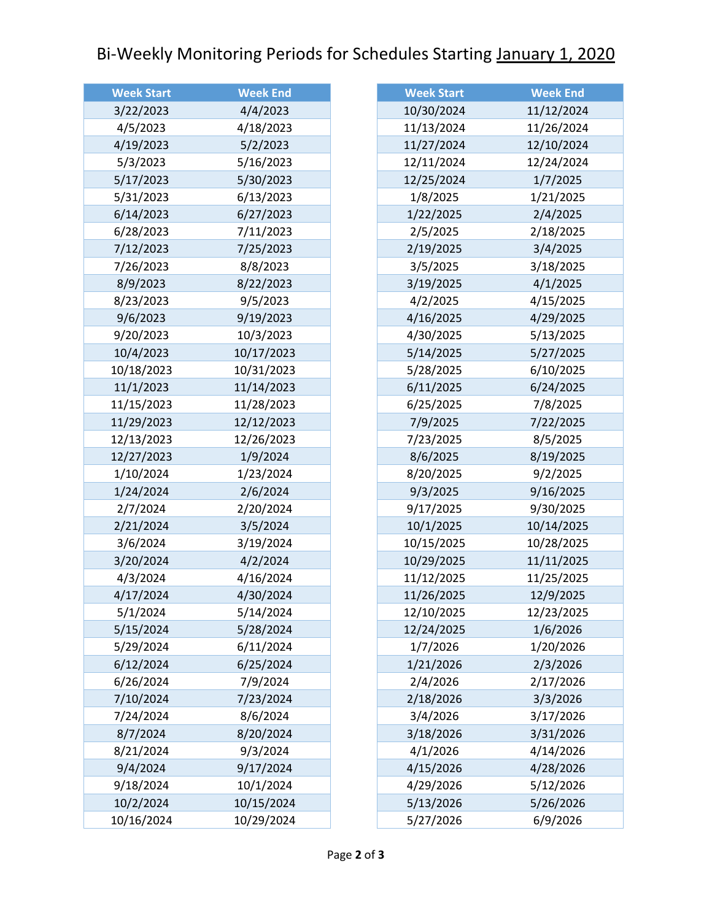## Bi-Weekly Monitoring Periods for Schedules Starting January 1, 2020

| <b>Week Start</b> | <b>Week End</b> |
|-------------------|-----------------|
| 3/22/2023         | 4/4/2023        |
| 4/5/2023          | 4/18/2023       |
| 4/19/2023         | 5/2/2023        |
| 5/3/2023          | 5/16/2023       |
| 5/17/2023         | 5/30/2023       |
| 5/31/2023         | 6/13/2023       |
| 6/14/2023         | 6/27/2023       |
| 6/28/2023         | 7/11/2023       |
| 7/12/2023         | 7/25/2023       |
| 7/26/2023         | 8/8/2023        |
| 8/9/2023          | 8/22/2023       |
| 8/23/2023         | 9/5/2023        |
| 9/6/2023          | 9/19/2023       |
| 9/20/2023         | 10/3/2023       |
| 10/4/2023         | 10/17/2023      |
| 10/18/2023        | 10/31/2023      |
| 11/1/2023         | 11/14/2023      |
| 11/15/2023        | 11/28/2023      |
| 11/29/2023        | 12/12/2023      |
| 12/13/2023        | 12/26/2023      |
| 12/27/2023        | 1/9/2024        |
| 1/10/2024         | 1/23/2024       |
| 1/24/2024         | 2/6/2024        |
| 2/7/2024          | 2/20/2024       |
| 2/21/2024         | 3/5/2024        |
| 3/6/2024          | 3/19/2024       |
| 3/20/2024         | 4/2/2024        |
| 4/3/2024          | 4/16/2024       |
| 4/17/2024         | 4/30/2024       |
| 5/1/2024          | 5/14/2024       |
| 5/15/2024         | 5/28/2024       |
| 5/29/2024         | 6/11/2024       |
| 6/12/2024         | 6/25/2024       |
| 6/26/2024         | 7/9/2024        |
| 7/10/2024         | 7/23/2024       |
| 7/24/2024         | 8/6/2024        |
| 8/7/2024          | 8/20/2024       |
| 8/21/2024         | 9/3/2024        |
| 9/4/2024          | 9/17/2024       |
| 9/18/2024         | 10/1/2024       |
| 10/2/2024         | 10/15/2024      |
| 10/16/2024        | 10/29/2024      |

| <b>Week Start</b> | <b>Week End</b> |
|-------------------|-----------------|
| 10/30/2024        | 11/12/2024      |
| 11/13/2024        | 11/26/2024      |
| 11/27/2024        | 12/10/2024      |
| 12/11/2024        | 12/24/2024      |
| 12/25/2024        | 1/7/2025        |
| 1/8/2025          | 1/21/2025       |
| 1/22/2025         | 2/4/2025        |
| 2/5/2025          | 2/18/2025       |
| 2/19/2025         | 3/4/2025        |
| 3/5/2025          | 3/18/2025       |
| 3/19/2025         | 4/1/2025        |
| 4/2/2025          | 4/15/2025       |
| 4/16/2025         | 4/29/2025       |
| 4/30/2025         | 5/13/2025       |
| 5/14/2025         | 5/27/2025       |
| 5/28/2025         | 6/10/2025       |
| 6/11/2025         | 6/24/2025       |
| 6/25/2025         | 7/8/2025        |
| 7/9/2025          | 7/22/2025       |
| 7/23/2025         | 8/5/2025        |
| 8/6/2025          | 8/19/2025       |
| 8/20/2025         | 9/2/2025        |
| 9/3/2025          | 9/16/2025       |
| 9/17/2025         | 9/30/2025       |
| 10/1/2025         | 10/14/2025      |
| 10/15/2025        | 10/28/2025      |
| 10/29/2025        | 11/11/2025      |
| 11/12/2025        | 11/25/2025      |
| 11/26/2025        | 12/9/2025       |
| 12/10/2025        | 12/23/2025      |
| 12/24/2025        | 1/6/2026        |
| 1/7/2026          | 1/20/2026       |
| 1/21/2026         | 2/3/2026        |
| 2/4/2026          | 2/17/2026       |
| 2/18/2026         | 3/3/2026        |
| 3/4/2026          | 3/17/2026       |
| 3/18/2026         | 3/31/2026       |
| 4/1/2026          | 4/14/2026       |
| 4/15/2026         | 4/28/2026       |
| 4/29/2026         | 5/12/2026       |
| 5/13/2026         | 5/26/2026       |
| 5/27/2026         | 6/9/2026        |